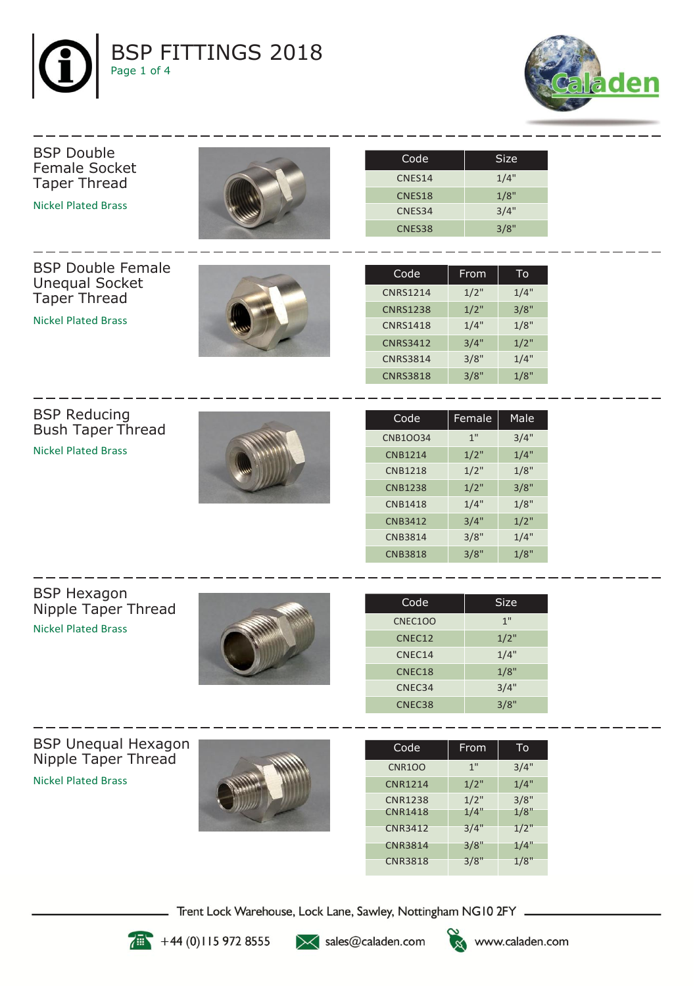



## Female Socket Taper Thread Nickel Plated Brass BSP Double Female Unequal Socket Taper Thread Nickel Plated Brass CNES38 3/8" CNES34 3/4" CNES18 1/8"  $CNES14$   $1/4"$ Code | Size CNRS3818 3/8" 1/8" CNRS3814 3/8" 1/4" CNRS3412 3/4" 1/2" CNRS1418 1/4" 1/8" CNRS1238 1/2" 3/8" CNRS1214 1/2" 1/4" Code | From  $|$  To

BSP Reducing Bush Taper Thread Nickel Plated Brass

BSP Double



| Code            | Female | Male    |
|-----------------|--------|---------|
| <b>CNB1OO34</b> | 1"     | 3/4"    |
| <b>CNB1214</b>  | 1/2"   | 1/4"    |
| <b>CNB1218</b>  | 1/2"   | 1/8"    |
| <b>CNB1238</b>  | 1/2"   | 3/8"    |
| <b>CNB1418</b>  | 1/4"   | 1/8"    |
| <b>CNB3412</b>  | 3/4"   | $1/2$ " |
| <b>CNB3814</b>  | 3/8"   | 1/4"    |
| <b>CNB3818</b>  | 3/8"   | 1/8"    |

BSP Hexagon Nipple Taper Thread Nickel Plated Brass



| Code               | Size |
|--------------------|------|
| <b>CNEC100</b>     | 1"   |
| CNEC12             | 1/2" |
| CNEC14             | 1/4" |
| CNEC <sub>18</sub> | 1/8" |
| CNEC34             | 3/4" |
| CNEC38             | 3/8" |

BSP Unequal Hexagon Nipple Taper Thread Nickel Plated Brass



| Code           | From | To   |
|----------------|------|------|
| <b>CNR100</b>  | 1"   | 3/4" |
| <b>CNR1214</b> | 1/2" | 1/4" |
| <b>CNR1238</b> | 1/2" | 3/8" |
| <b>CNR1418</b> | 1/4" | 1/8" |
| <b>CNR3412</b> | 3/4" | 1/2" |
| <b>CNR3814</b> | 3/8" | 1/4" |
| <b>CNR3818</b> | 3/8" | 1/8" |

Trent Lock Warehouse, Lock Lane, Sawley, Nottingham NG10 2FY \_



 $+44(0)1159728555$ 

>< sales@caladen.com



www.caladen.com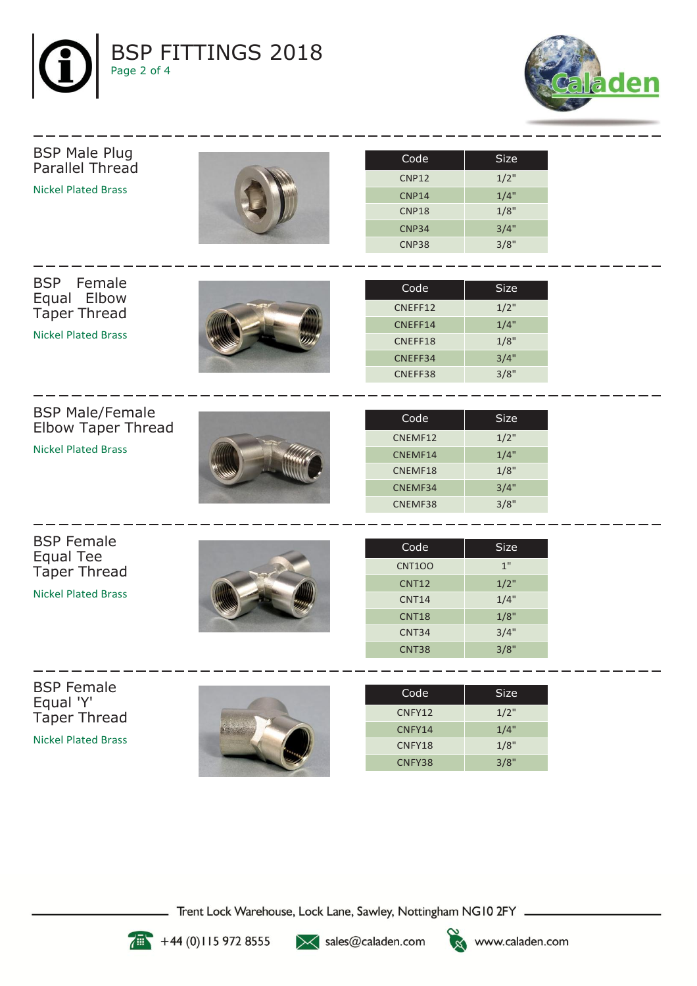



## BSP Male Plug Parallel Thread Nickel Plated Brass



| Code              | Size |
|-------------------|------|
| <b>CNP12</b>      | 1/2" |
| CNP <sub>14</sub> | 1/4" |
| CNP <sub>18</sub> | 1/8" |
| CNP34             | 3/4" |
| CNP38             | 3/8" |

BSP Female Equal Elbow Taper Thread

Nickel Plated Brass

| Code    | Size |
|---------|------|
| CNEFF12 | 1/2" |
| CNEFF14 | 1/4" |
| CNEFF18 | 1/8" |
| CNEFF34 | 3/4" |
| CNEFF38 | 3/8" |

BSP Male/Female Elbow Taper Thread

Nickel Plated Brass



| Code    | 'Size |
|---------|-------|
| CNEMF12 | 1/2"  |
| CNEMF14 | 1/4"  |
| CNEMF18 | 1/8"  |
| CNEMF34 | 3/4"  |
| CNEMF38 | 3/8"  |

BSP Female Equal Tee Taper Thread

Nickel Plated Brass



| Code          | Size |
|---------------|------|
| <b>CNT100</b> | 1"   |
| <b>CNT12</b>  | 1/2" |
| <b>CNT14</b>  | 1/4" |
| <b>CNT18</b>  | 1/8" |
| CNT34         | 3/4" |
| CNT38         | 3/8" |

BSP Female Equal 'Y' Taper Thread

Nickel Plated Brass



| Code   | Size |
|--------|------|
| CNFY12 | 1/2" |
| CNFY14 | 1/4" |
| CNFY18 | 1/8" |
| CNFY38 | 3/8" |

Trent Lock Warehouse, Lock Lane, Sawley, Nottingham NG10 2FY \_



 $+44(0)1159728555$ 

>< sales@caladen.com

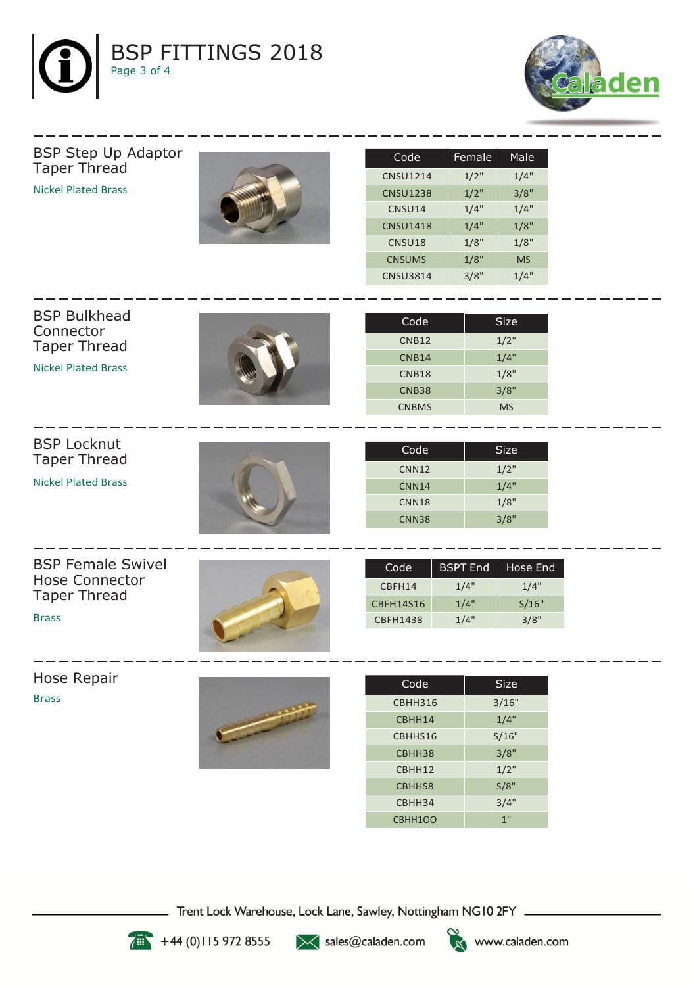



BSP Step Up Adaptor Taper Thread Nickel Plated Brass



| Code            | Female | Male      |
|-----------------|--------|-----------|
| <b>CNSU1214</b> | 1/2"   | 1/4"      |
| <b>CNSU1238</b> | 1/2"   | 3/8"      |
| CNSU14          | 1/4"   | 1/4"      |
| <b>CNSU1418</b> | 1/4"   | 1/8"      |
| CNSU18          | 1/8"   | 1/8"      |
| <b>CNSUMS</b>   | 1/8"   | <b>MS</b> |
| <b>CNSU3814</b> | 3/8"   | 1/4"      |

| <b>BSP Bulkhead</b><br>Connector | Code         | <b>Size</b> |
|----------------------------------|--------------|-------------|
| <b>Taper Thread</b>              | <b>CNB12</b> | $1/2$ "     |
|                                  | <b>CNB14</b> | 1/4"        |
| <b>Nickel Plated Brass</b>       | CNB18        | 1/8"        |
|                                  | <b>CNB38</b> | 3/8"        |
|                                  | <b>CNBMS</b> | <b>MS</b>   |
|                                  |              |             |
| <b>BSP Locknut</b>               |              |             |
| <b>Taper Thread</b>              | Code         | <b>Size</b> |
|                                  | <b>CNN12</b> | $1/2$ "     |

Nickel Plated Brass



| Code              | Size |
|-------------------|------|
| CNN <sub>12</sub> | 1/2" |
| CNN <sub>14</sub> | 1/4" |
| CNN <sub>18</sub> | 1/8" |
| CNN38             | 3/8" |

BSP Female Swivel Hose Connector Taper Thread

Brass



| Code      | <b>BSPT End</b> | Hose End |
|-----------|-----------------|----------|
| CBFH14    | 1/4"            | 1/4"     |
| CBFH14S16 | 1/4"            | S/16"    |
| CBFH1438  | 1/4"            | 3/8"     |

Hose Repair Brass



| Code           | Size  |  |
|----------------|-------|--|
| <b>CBHH316</b> | 3/16" |  |
| CBHH14         | 1/4"  |  |
| CBHHS16        | S/16" |  |
| CBHH38         | 3/8"  |  |
| CBHH12         | 1/2"  |  |
| CBHHS8         | S/8"  |  |
| CBHH34         | 3/4"  |  |
| CBHH1OO        | 1"    |  |

Trent Lock Warehouse, Lock Lane, Sawley, Nottingham NG10 2FY \_\_



 $+44(0)1159728555$ 

></a>sales@caladen.com



www.caladen.com